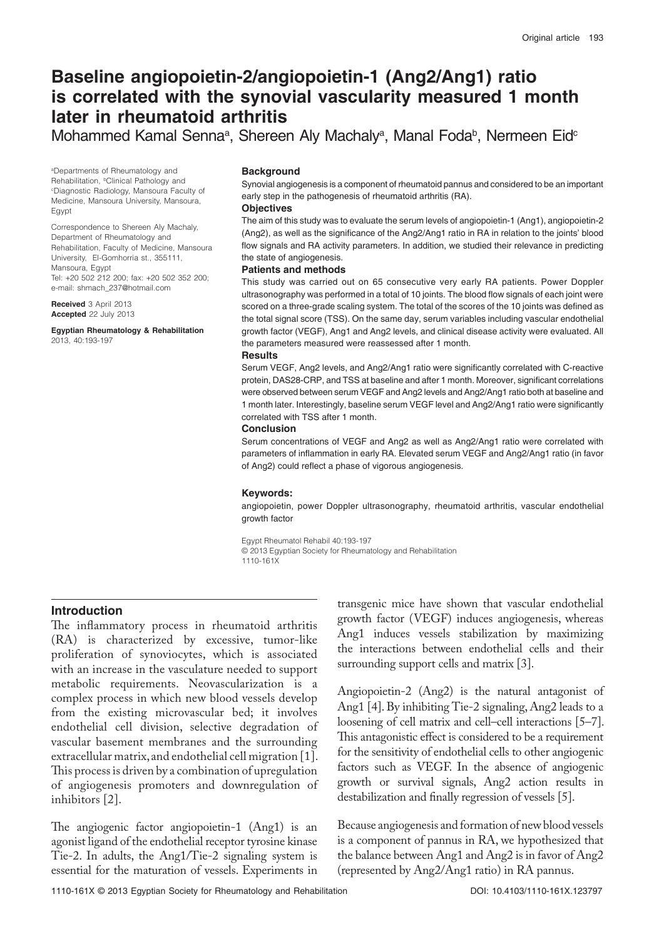# **Baseline angiopoietin-2/angiopoietin-1 (Ang2/Ang1) ratio is correlated with the synovial vascularity measured 1 month later in rheumatoid arthritis**

Mohammed Kamal Senna<sup>a</sup>, Shereen Aly Machaly<sup>a</sup>, Manal Foda<sup>b</sup>, Nermeen Eid<sup>c</sup>

a Departments of Rheumatology and Rehabilitation, <sup>b</sup>Clinical Pathology and<br><sup>c</sup>Diagnostic Radiology, Mansoura Faculty of Medicine, Mansoura University, Mansoura, Egypt

Correspondence to Shereen Aly Machaly, Department of Rheumatology and Rehabilitation, Faculty of Medicine, Mansoura University, El-Gomhorria st., 355111, Mansoura, Egypt Tel: +20 502 212 200; fax: +20 502 352 200; e-mail: shmach\_237@hotmail.com

**Received** 3 April 2013 **Accepted** 22 July 2013

**Egyptian Rheumatology & Rehabilitation**  2013, 40:193-197

#### **Background**

Synovial angiogenesis is a component of rheumatoid pannus and considered to be an important early step in the pathogenesis of rheumatoid arthritis (RA).

#### **Objectives**

The aim of this study was to evaluate the serum levels of angiopoietin-1 (Ang1), angiopoietin-2 (Ang2), as well as the significance of the Ang2/Ang1 ratio in RA in relation to the joints' blood flow signals and RA activity parameters. In addition, we studied their relevance in predicting the state of angiogenesis.

## **Patients and methods**

This study was carried out on 65 consecutive very early RA patients. Power Doppler ultrasonography was performed in a total of 10 joints. The blood flow signals of each joint were scored on a three-grade scaling system. The total of the scores of the 10 joints was defined as the total signal score (TSS). On the same day, serum variables including vascular endothelial growth factor (VEGF), Ang1 and Ang2 levels, and clinical disease activity were evaluated. All the parameters measured were reassessed after 1 month.

#### **Results**

Serum VEGF, Ang2 levels, and Ang2/Ang1 ratio were significantly correlated with C-reactive protein, DAS28-CRP, and TSS at baseline and after 1 month. Moreover, significant correlations were observed between serum VEGF and Ang2 levels and Ang2/Ang1 ratio both at baseline and 1 month later. Interestingly, baseline serum VEGF level and Ang2/Ang1 ratio were significantly correlated with TSS after 1 month.

#### **Conclusion**

Serum concentrations of VEGF and Ang2 as well as Ang2/Ang1 ratio were correlated with parameters of inflammation in early RA. Elevated serum VEGF and Ang2/Ang1 ratio (in favor of Ang2) could reflect a phase of vigorous angiogenesis.

#### **Keywords:**

angiopoietin, power Doppler ultrasonography, rheumatoid arthritis, vascular endothelial growth factor

Egypt Rheumatol Rehabil 40:193-197 © 2013 Egyptian Society for Rheumatology and Rehabilitation 1110-161X

# **Introduction**

The inflammatory process in rheumatoid arthritis (RA) is characterized by excessive, tumor-like proliferation of synoviocytes, which is associated with an increase in the vasculature needed to support metabolic requirements. Neovascularization is a complex process in which new blood vessels develop from the existing microvascular bed; it involves endothelial cell division, selective degradation of vascular basement membranes and the surrounding extracellular matrix, and endothelial cell migration [1]. This process is driven by a combination of upregulation of angiogenesis promoters and downregulation of inhibitors [2].

The angiogenic factor angiopoietin-1 (Ang1) is an agonist ligand of the endothelial receptor tyrosine kinase Tie-2. In adults, the Ang1/Tie-2 signaling system is essential for the maturation of vessels. Experiments in

transgenic mice have shown that vascular endothelial growth factor (VEGF) induces angiogenesis, whereas Ang1 induces vessels stabilization by maximizing the interactions between endothelial cells and their surrounding support cells and matrix [3].

Angiopoietin-2 (Ang2) is the natural antagonist of Ang1 [4]. By inhibiting Tie-2 signaling, Ang2 leads to a loosening of cell matrix and cell–cell interactions [5–7]. This antagonistic effect is considered to be a requirement for the sensitivity of endothelial cells to other angiogenic factors such as VEGF. In the absence of angiogenic growth or survival signals, Ang2 action results in destabilization and finally regression of vessels [5].

Because angiogenesis and formation of new blood vessels is a component of pannus in RA, we hypothesized that the balance between Ang1 and Ang2 is in favor of Ang2 (represented by Ang2/Ang1 ratio) in RA pannus.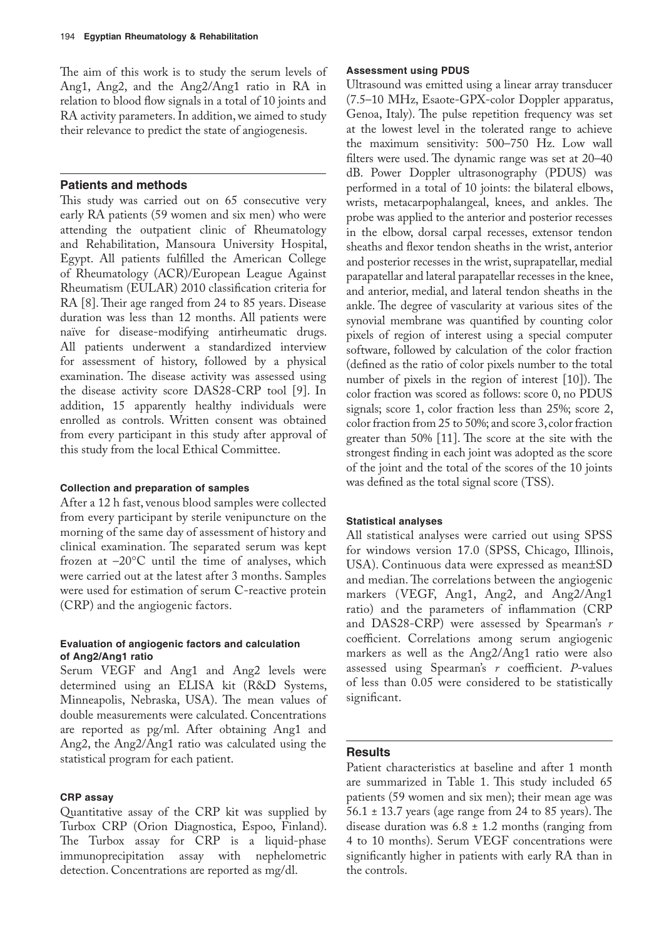The aim of this work is to study the serum levels of Ang1, Ang2, and the Ang2/Ang1 ratio in RA in relation to blood flow signals in a total of 10 joints and RA activity parameters. In addition, we aimed to study their relevance to predict the state of angiogenesis.

# **Patients and methods**

This study was carried out on 65 consecutive very early RA patients (59 women and six men) who were attending the outpatient clinic of Rheumatology and Rehabilitation, Mansoura University Hospital, Egypt. All patients fulfilled the American College of Rheumatology (ACR)/European League Against Rheumatism (EULAR) 2010 classification criteria for RA [8]. Their age ranged from 24 to 85 years. Disease duration was less than 12 months. All patients were naïve for disease-modifying antirheumatic drugs. All patients underwent a standardized interview for assessment of history, followed by a physical examination. The disease activity was assessed using the disease activity score DAS28-CRP tool [9]. In addition, 15 apparently healthy individuals were enrolled as controls. Written consent was obtained from every participant in this study after approval of this study from the local Ethical Committee.

# **Collection and preparation of samples**

After a 12 h fast, venous blood samples were collected from every participant by sterile venipuncture on the morning of the same day of assessment of history and clinical examination. The separated serum was kept frozen at –20°C until the time of analyses, which were carried out at the latest after 3 months. Samples were used for estimation of serum C-reactive protein (CRP) and the angiogenic factors.

# **Evaluation of angiogenic factors and calculation of Ang2/Ang1 ratio**

Serum VEGF and Ang1 and Ang2 levels were determined using an ELISA kit (R&D Systems, Minneapolis, Nebraska, USA). The mean values of double measurements were calculated. Concentrations are reported as pg/ml. After obtaining Ang1 and Ang2, the Ang2/Ang1 ratio was calculated using the statistical program for each patient.

## **CRP assay**

Quantitative assay of the CRP kit was supplied by Turbox CRP (Orion Diagnostica, Espoo, Finland). The Turbox assay for CRP is a liquid-phase immunoprecipitation assay with nephelometric detection. Concentrations are reported as mg/dl.

## **Assessment using PDUS**

Ultrasound was emitted using a linear array transducer (7.5–10 MHz, Esaote-GPX-color Doppler apparatus, Genoa, Italy). The pulse repetition frequency was set at the lowest level in the tolerated range to achieve the maximum sensitivity: 500–750 Hz. Low wall filters were used. The dynamic range was set at 20–40 dB. Power Doppler ultrasonography (PDUS) was performed in a total of 10 joints: the bilateral elbows, wrists, metacarpophalangeal, knees, and ankles. The probe was applied to the anterior and posterior recesses in the elbow, dorsal carpal recesses, extensor tendon sheaths and flexor tendon sheaths in the wrist, anterior and posterior recesses in the wrist, suprapatellar, medial parapatellar and lateral parapatellar recesses in the knee, and anterior, medial, and lateral tendon sheaths in the ankle. The degree of vascularity at various sites of the synovial membrane was quantified by counting color pixels of region of interest using a special computer software, followed by calculation of the color fraction (defined as the ratio of color pixels number to the total number of pixels in the region of interest [10]). The color fraction was scored as follows: score 0, no PDUS signals; score 1, color fraction less than 25%; score 2, color fraction from 25 to 50%; and score 3, color fraction greater than 50% [11]. The score at the site with the strongest finding in each joint was adopted as the score of the joint and the total of the scores of the 10 joints was defined as the total signal score (TSS).

## **Statistical analyses**

All statistical analyses were carried out using SPSS for windows version 17.0 (SPSS, Chicago, Illinois, USA). Continuous data were expressed as mean±SD and median. The correlations between the angiogenic markers (VEGF, Ang1, Ang2, and Ang2/Ang1 ratio) and the parameters of inflammation (CRP and DAS28-CRP) were assessed by Spearman's *r* coefficient. Correlations among serum angiogenic markers as well as the Ang2/Ang1 ratio were also assessed using Spearman's *r* coefficient. *P*-values of less than 0.05 were considered to be statistically significant.

# **Results**

Patient characteristics at baseline and after 1 month are summarized in Table 1. This study included 65 patients (59 women and six men); their mean age was 56.1 ± 13.7 years (age range from 24 to 85 years). The disease duration was  $6.8 \pm 1.2$  months (ranging from 4 to 10 months). Serum VEGF concentrations were significantly higher in patients with early RA than in the controls.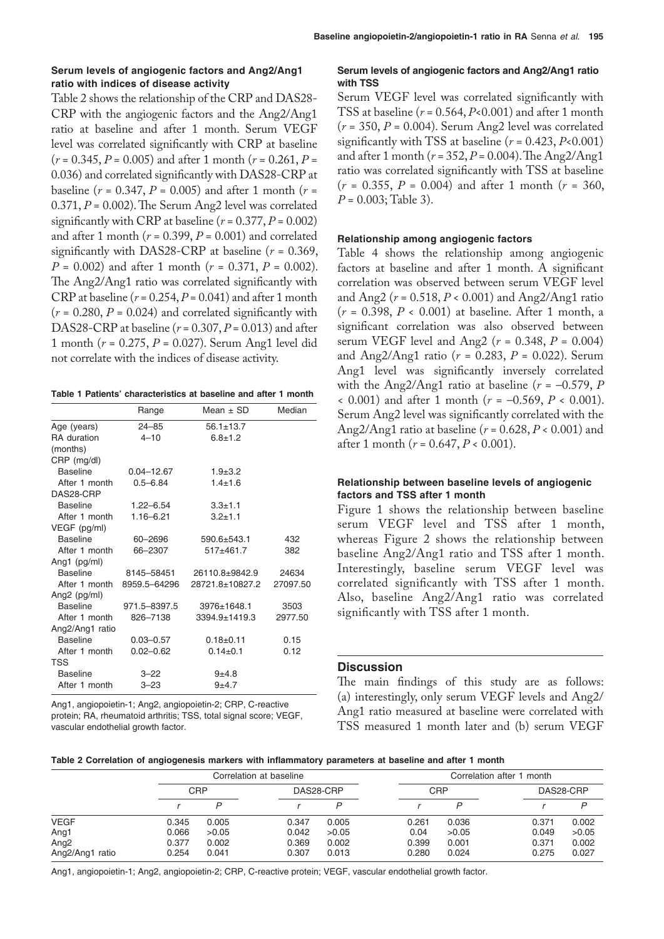## **Serum levels of angiogenic factors and Ang2/Ang1 ratio with indices of disease activity**

Table 2 shows the relationship of the CRP and DAS28- CRP with the angiogenic factors and the Ang2/Ang1 ratio at baseline and after 1 month. Serum VEGF level was correlated significantly with CRP at baseline (*r* = 0.345, *P* = 0.005) and after 1 month (*r* = 0.261, *P* = 0.036) and correlated significantly with DAS28-CRP at baseline ( $r = 0.347$ ,  $P = 0.005$ ) and after 1 month ( $r =$ 0.371, *P* = 0.002). The Serum Ang2 level was correlated significantly with CRP at baseline  $(r = 0.377, P = 0.002)$ and after 1 month  $(r = 0.399, P = 0.001)$  and correlated significantly with DAS28-CRP at baseline (*r* = 0.369, *P* = 0.002) and after 1 month (*r* = 0.371, *P* = 0.002). The Ang2/Ang1 ratio was correlated significantly with CRP at baseline  $(r = 0.254, P = 0.041)$  and after 1 month  $(r = 0.280, P = 0.024)$  and correlated significantly with DAS28-CRP at baseline (*r* = 0.307, *P* = 0.013) and after 1 month (*r* = 0.275, *P* = 0.027). Serum Ang1 level did not correlate with the indices of disease activity.

## **Table 1 Patients' characteristics at baseline and after 1 month**

|                    | Range          | Mean $\pm$ SD     | Median   |
|--------------------|----------------|-------------------|----------|
| Age (years)        | $24 - 85$      | $56.1 + 13.7$     |          |
| <b>RA</b> duration | $4 - 10$       | $6.8 + 1.2$       |          |
| (months)           |                |                   |          |
| CRP (mg/dl)        |                |                   |          |
| <b>Baseline</b>    | $0.04 - 12.67$ | $1.9 + 3.2$       |          |
| After 1 month      | $0.5 - 6.84$   | $1.4 + 1.6$       |          |
| DAS28-CRP          |                |                   |          |
| <b>Baseline</b>    | $1.22 - 6.54$  | $3.3 + 1.1$       |          |
| After 1 month      | $1.16 - 6.21$  | $3.2 + 1.1$       |          |
| VEGF (pg/ml)       |                |                   |          |
| <b>Baseline</b>    | 60-2696        | $590.6 + 543.1$   | 432      |
| After 1 month      | 66-2307        | $517+461.7$       | 382      |
| Ang1 $(pq/ml)$     |                |                   |          |
| <b>Baseline</b>    | 8145–58451     | 26110.8+9842.9    | 24634    |
| After 1 month      | 8959.5-64296   | 28721.8±10827.2   | 27097.50 |
| Ang2 (pg/ml)       |                |                   |          |
| <b>Baseline</b>    | 971.5-8397.5   | 3976±1648.1       | 3503     |
| After 1 month      | 826-7138       | $3394.9 + 1419.3$ | 2977.50  |
| Ang2/Ang1 ratio    |                |                   |          |
| <b>Baseline</b>    | $0.03 - 0.57$  | $0.18 + 0.11$     | 0.15     |
| After 1 month      | $0.02 - 0.62$  | $0.14 \pm 0.1$    | 0.12     |
| TSS                |                |                   |          |
| <b>Baseline</b>    | $3 - 22$       | $9+4.8$           |          |
| After 1 month      | $3 - 23$       | $9+4.7$           |          |

Ang1, angiopoietin-1; Ang2, angiopoietin-2; CRP, C-reactive protein; RA, rheumatoid arthritis; TSS, total signal score; VEGF, vascular endothelial growth factor.

# **Serum levels of angiogenic factors and Ang2/Ang1 ratio with TSS**

Serum VEGF level was correlated significantly with TSS at baseline  $(r = 0.564, P < 0.001)$  and after 1 month (*r* = 350, *P* = 0.004). Serum Ang2 level was correlated significantly with TSS at baseline  $(r = 0.423, P<0.001)$ and after 1 month (*r* = 352, *P* = 0.004). The Ang2/Ang1 ratio was correlated significantly with TSS at baseline  $(r = 0.355, P = 0.004)$  and after 1 month  $(r = 360,$ *P* = 0.003; Table 3).

## **Relationship among angiogenic factors**

Table 4 shows the relationship among angiogenic factors at baseline and after 1 month. A significant correlation was observed between serum VEGF level and Ang2 (*r* = 0.518, *P* < 0.001) and Ang2/Ang1 ratio (*r* = 0.398, *P* < 0.001) at baseline. After 1 month, a significant correlation was also observed between serum VEGF level and Ang2 (*r* = 0.348, *P* = 0.004) and Ang2/Ang1 ratio (*r* = 0.283, *P* = 0.022). Serum Ang1 level was significantly inversely correlated with the Ang2/Ang1 ratio at baseline  $(r = -0.579, P)$ < 0.001) and after 1 month (*r* = –0.569, *P* < 0.001). Serum Ang2 level was significantly correlated with the Ang2/Ang1 ratio at baseline (*r* = 0.628, *P* < 0.001) and after 1 month (*r* = 0.647, *P* < 0.001).

## **Relationship between baseline levels of angiogenic factors and TSS after 1 month**

Figure 1 shows the relationship between baseline serum VEGF level and TSS after 1 month, whereas Figure 2 shows the relationship between baseline Ang2/Ang1 ratio and TSS after 1 month. Interestingly, baseline serum VEGF level was correlated significantly with TSS after 1 month. Also, baseline Ang2/Ang1 ratio was correlated significantly with TSS after 1 month.

# **Discussion**

The main findings of this study are as follows: (a) interestingly, only serum VEGF levels and Ang2/ Ang1 ratio measured at baseline were correlated with TSS measured 1 month later and (b) serum VEGF

|  | Table 2 Correlation of angiogenesis markers with inflammatory parameters at baseline and after 1 month |  |  |  |  |
|--|--------------------------------------------------------------------------------------------------------|--|--|--|--|
|--|--------------------------------------------------------------------------------------------------------|--|--|--|--|

|                  |            |       | Correlation at baseline |       | Correlation after 1 month |       |       |           |  |
|------------------|------------|-------|-------------------------|-------|---------------------------|-------|-------|-----------|--|
|                  | <b>CRP</b> |       | DAS28-CRP               |       | <b>CRP</b>                |       |       | DAS28-CRP |  |
|                  |            | D     |                         | D     |                           |       |       | D         |  |
| <b>VEGF</b>      | 0.345      | 0.005 | 0.347                   | 0.005 | 0.261                     | 0.036 | 0.371 | 0.002     |  |
| Ang1             | 0.066      | >0.05 | 0.042                   | >0.05 | 0.04                      | >0.05 | 0.049 | >0.05     |  |
| Ang <sub>2</sub> | 0.377      | 0.002 | 0.369                   | 0.002 | 0.399                     | 0.001 | 0.371 | 0.002     |  |
| Ang2/Ang1 ratio  | 0.254      | 0.041 | 0.307                   | 0.013 | 0.280                     | 0.024 | 0.275 | 0.027     |  |

Ang1, angiopoietin-1; Ang2, angiopoietin-2; CRP, C-reactive protein; VEGF, vascular endothelial growth factor.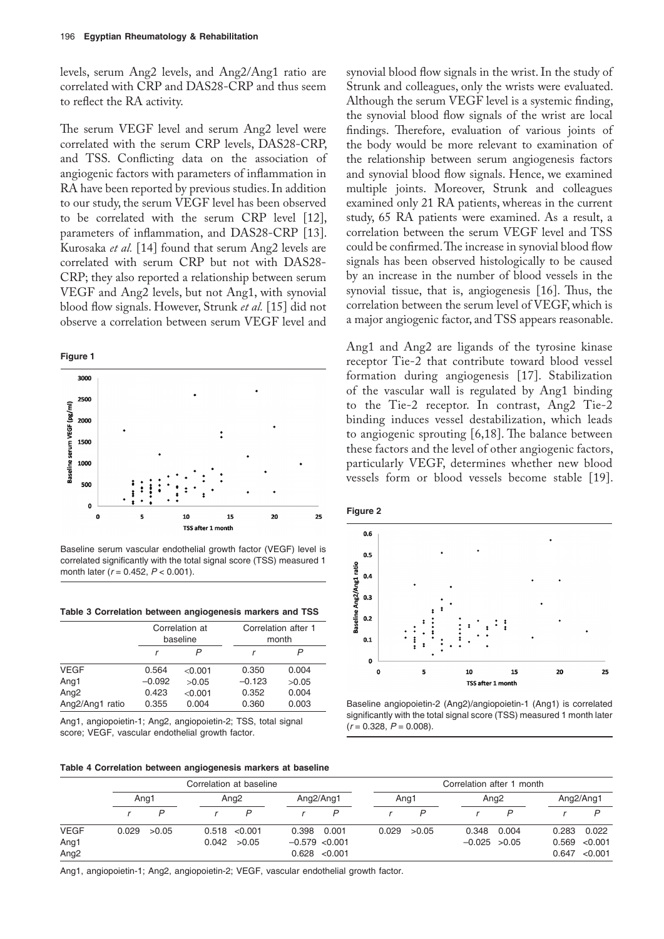levels, serum Ang2 levels, and Ang2/Ang1 ratio are correlated with CRP and DAS28-CRP and thus seem to reflect the RA activity.

The serum VEGF level and serum Ang2 level were correlated with the serum CRP levels, DAS28-CRP, and TSS. Conflicting data on the association of angiogenic factors with parameters of inflammation in RA have been reported by previous studies. In addition to our study, the serum VEGF level has been observed to be correlated with the serum CRP level [12], parameters of inflammation, and DAS28-CRP [13]. Kurosaka *et al.* [14] found that serum Ang2 levels are correlated with serum CRP but not with DAS28- CRP; they also reported a relationship between serum VEGF and Ang2 levels, but not Ang1, with synovial blood flow signals. However, Strunk *et al.* [15] did not observe a correlation between serum VEGF level and





Baseline serum vascular endothelial growth factor (VEGF) level is correlated significantly with the total signal score (TSS) measured 1 month later ( $r = 0.452$ ,  $P < 0.001$ ).

**Table 3 Correlation between angiogenesis markers and TSS**

|                  |          | Correlation at<br>baseline | Correlation after 1<br>month |       |  |  |  |
|------------------|----------|----------------------------|------------------------------|-------|--|--|--|
|                  |          |                            |                              |       |  |  |  |
| <b>VEGF</b>      | 0.564    | < 0.001                    | 0.350                        | 0.004 |  |  |  |
| Ang1             | $-0.092$ | >0.05                      | $-0.123$                     | >0.05 |  |  |  |
| Ang <sub>2</sub> | 0.423    | < 0.001                    | 0.352                        | 0.004 |  |  |  |
| Ang2/Ang1 ratio  | 0.355    | 0.004                      | 0.360                        | 0.003 |  |  |  |

Ang1, angiopoietin-1; Ang2, angiopoietin-2; TSS, total signal score; VEGF, vascular endothelial growth factor.

synovial blood flow signals in the wrist. In the study of Strunk and colleagues, only the wrists were evaluated. Although the serum VEGF level is a systemic finding, the synovial blood flow signals of the wrist are local findings. Therefore, evaluation of various joints of the body would be more relevant to examination of the relationship between serum angiogenesis factors and synovial blood flow signals. Hence, we examined multiple joints. Moreover, Strunk and colleagues examined only 21 RA patients, whereas in the current study, 65 RA patients were examined. As a result, a correlation between the serum VEGF level and TSS could be confirmed. The increase in synovial blood flow signals has been observed histologically to be caused by an increase in the number of blood vessels in the synovial tissue, that is, angiogenesis [16]. Thus, the correlation between the serum level of VEGF, which is a major angiogenic factor, and TSS appears reasonable.

Ang1 and Ang2 are ligands of the tyrosine kinase receptor Tie-2 that contribute toward blood vessel formation during angiogenesis [17]. Stabilization of the vascular wall is regulated by Ang1 binding to the Tie-2 receptor. In contrast, Ang2 Tie-2 binding induces vessel destabilization, which leads to angiogenic sprouting [6,18]. The balance between these factors and the level of other angiogenic factors, particularly VEGF, determines whether new blood vessels form or blood vessels become stable [19].





Baseline angiopoietin-2 (Ang2)/angiopoietin-1 (Ang1) is correlated significantly with the total signal score (TSS) measured 1 month later  $(r = 0.328, P = 0.008).$ 

**Table 4 Correlation between angiogenesis markers at baseline**

|                  | Correlation at baseline |                          |  |                                    |                 | Correlation after 1 month |       |                  |                  |           |       |                |
|------------------|-------------------------|--------------------------|--|------------------------------------|-----------------|---------------------------|-------|------------------|------------------|-----------|-------|----------------|
|                  |                         | Ang <sub>2</sub><br>Ang1 |  | Ang <sub>2</sub> /Ang <sub>1</sub> |                 | Ang1                      |       | Ang <sub>2</sub> |                  | Ang2/Ang1 |       |                |
|                  |                         | P                        |  | P                                  |                 |                           |       |                  |                  |           |       |                |
| <b>VEGF</b>      | 0.029                   | >0.05                    |  | 0.518 < 0.001                      | 0.398           | 0.001                     | 0.029 | >0.05            | 0.348 0.004      |           | 0.283 | 0.022          |
| Ang1             |                         |                          |  | 0.042 > 0.05                       | $-0.579$ <0.001 |                           |       |                  | $-0.025$ $>0.05$ |           | 0.569 | $<$ 0.001 $\,$ |
| Ang <sub>2</sub> |                         |                          |  |                                    |                 | 0.628 < 0.001             |       |                  |                  |           |       | 0.647 < 0.001  |

Ang1, angiopoietin-1; Ang2, angiopoietin-2; VEGF, vascular endothelial growth factor.